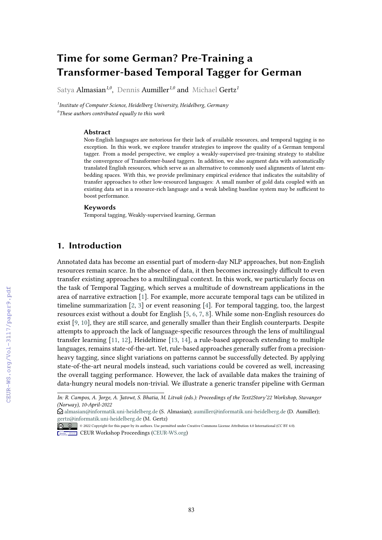# **Time for some German? Pre-Training a Transformer-based Temporal Tagger for German**

Satya Almasian*1,0*, Dennis Aumiller*1,0* and Michael Gertz*<sup>1</sup>*

*1 Institute of Computer Science, Heidelberg University, Heidelberg, Germany 0 These authors contributed equally to this work*

#### **Abstract**

Non-English languages are notorious for their lack of available resources, and temporal tagging is no exception. In this work, we explore transfer strategies to improve the quality of a German temporal tagger. From a model perspective, we employ a weakly-supervised pre-training strategy to stabilize the convergence of Transformer-based taggers. In addition, we also augment data with automatically translated English resources, which serve as an alternative to commonly used alignments of latent embedding spaces. With this, we provide preliminary empirical evidence that indicates the suitability of transfer approaches to other low-resourced languages: A small number of gold data coupled with an existing data set in a resource-rich language and a weak labeling baseline system may be sufficient to boost performance.

#### **Keywords**

Temporal tagging, Weakly-supervised learning, German

# **1. Introduction**

Annotated data has become an essential part of modern-day NLP approaches, but non-English resources remain scarce. In the absence of data, it then becomes increasingly difficult to even transfer existing approaches to a multilingual context. In this work, we particularly focus on the task of Temporal Tagging, which serves a multitude of downstream applications in the area of narrative extraction [\[1\]](#page--1-0). For example, more accurate temporal tags can be utilized in timeline summarization [\[2,](#page--1-1) [3\]](#page--1-2) or event reasoning [\[4\]](#page--1-3). For temporal tagging, too, the largest resources exist without a doubt for English [\[5,](#page--1-4) [6,](#page--1-5) [7,](#page--1-6) [8\]](#page--1-7). While some non-English resources do exist [\[9,](#page--1-8) [10\]](#page--1-9), they are still scarce, and generally smaller than their English counterparts. Despite attempts to approach the lack of language-specific resources through the lens of multilingual transfer learning [\[11,](#page--1-10) [12\]](#page--1-11), Heideltime [\[13,](#page--1-12) [14\]](#page--1-13), a rule-based approach extending to multiple languages, remains state-of-the-art. Yet, rule-based approaches generally suffer from a precisionheavy tagging, since slight variations on patterns cannot be successfully detected. By applying state-of-the-art neural models instead, such variations could be covered as well, increasing the overall tagging performance. However, the lack of available data makes the training of data-hungry neural models non-trivial. We illustrate a generic transfer pipeline with German

*In: R. Campos, A. Jorge, A. Jatowt, S. Bhatia, M. Litvak (eds.): Proceedings of the Text2Story'22 Workshop, Stavanger (Norway), 10-April-2022*

 $\odot$  [almasian@informatik.uni-heidelberg.de](mailto:almasian@informatik.uni-heidelberg.de) (S. Almasian); [aumiller@informatik.uni-heidelberg.de](mailto:aumiller@informatik.uni-heidelberg.de) (D. Aumiller); [gertz@informatik.uni-heidelberg.de](mailto:gertz@informatik.uni-heidelberg.de) (M. Gertz)

<sup>©</sup> 2022 Copyright for this paper by its authors. Use permitted under Creative Commons License Attribution 4.0 International (CC BY 4.0).

**CEUR Workshop [Proceedings](http://ceur-ws.org) [\(CEUR-WS.org\)](http://ceur-ws.org)**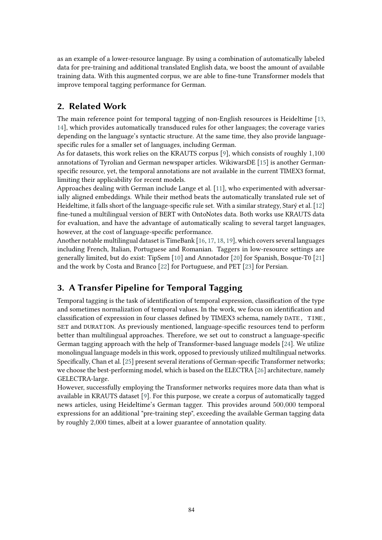as an example of a lower-resource language. By using a combination of automatically labeled data for pre-training and additional translated English data, we boost the amount of available training data. With this augmented corpus, we are able to fine-tune Transformer models that improve temporal tagging performance for German.

# **2. Related Work**

The main reference point for temporal tagging of non-English resources is Heideltime [\[13,](#page-5-0) [14\]](#page-5-1), which provides automatically transduced rules for other languages; the coverage varies depending on the language's syntactic structure. At the same time, they also provide languagespecific rules for a smaller set of languages, including German.

As for datasets, this work relies on the KRAUTS corpus [\[9\]](#page-5-2), which consists of roughly 1*,*100 annotations of Tyrolian and German newspaper articles. WikiwarsDE [\[15\]](#page-5-3) is another Germanspecific resource, yet, the temporal annotations are not available in the current TIMEX3 format, limiting their applicability for recent models.

Approaches dealing with German include Lange et al. [\[11\]](#page-5-4), who experimented with adversarially aligned embeddings. While their method beats the automatically translated rule set of Heideltime, it falls short of the language-specific rule set. With a similar strategy, Starý et al.  $[12]$ fine-tuned a multilingual version of BERT with OntoNotes data. Both works use KRAUTS data for evaluation, and have the advantage of automatically scaling to several target languages, however, at the cost of language-specific performance.

Another notable multilingual dataset is TimeBank [\[16,](#page-6-0) [17,](#page-6-1) [18,](#page-6-2) [19\]](#page-6-3), which covers several languages including French, Italian, Portuguese and Romanian. Taggers in low-resource settings are generally limited, but do exist: TipSem [\[10\]](#page-5-6) and Annotador [\[20\]](#page-6-4) for Spanish, Bosque-T0 [\[21\]](#page-6-5) and the work by Costa and Branco [\[22\]](#page-6-6) for Portuguese, and PET [\[23\]](#page-6-7) for Persian.

# **3. A Transfer Pipeline for Temporal Tagging**

Temporal tagging is the task of identification of temporal expression, classification of the type and sometimes normalization of temporal values. In the work, we focus on identification and classification of expression in four classes defined by TIMEX3 schema, namely DATE, TIME, SET and DURATION. As previously mentioned, language-specific resources tend to perform better than multilingual approaches. Therefore, we set out to construct a language-specific German tagging approach with the help of Transformer-based language models [\[24\]](#page-6-8). We utilize monolingual language models in this work, opposed to previously utilized multilingual networks. Specifically, Chan et al. [\[25\]](#page-6-9) present several iterations of German-specific Transformer networks; we choose the best-performing model, which is based on the ELECTRA [\[26\]](#page-7-0) architecture, namely GELECTRA-large.

However, successfully employing the Transformer networks requires more data than what is available in KRAUTS dataset [\[9\]](#page-5-2). For this purpose, we create a corpus of automatically tagged news articles, using Heideltime's German tagger. This provides around 500*,*000 temporal expressions for an additional "pre-training step", exceeding the available German tagging data by roughly 2*,*000 times, albeit at a lower guarantee of annotation quality.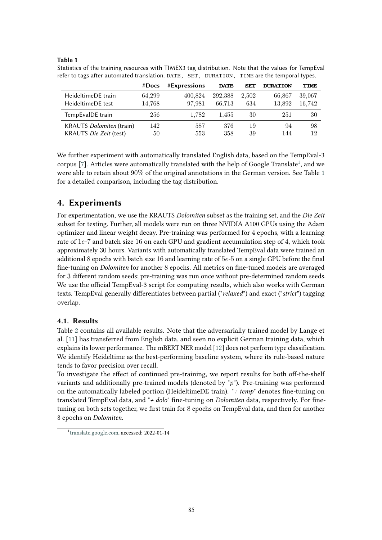### <span id="page-2-1"></span>**Table 1**

|                          | #Does  | #Expressions | <b>DATE</b> | <b>SET</b> | <b>DURATION</b> | <b>TIME</b> |
|--------------------------|--------|--------------|-------------|------------|-----------------|-------------|
| HeideltimeDE train       | 64,299 | 400.824      | 292,388     | 2,502      | 66,867          | 39,067      |
| HeideltimeDE test        | 14.768 | 97.981       | 66.713      | 634        | 13.892          | 16.742      |
| TempEvalDE train         | 256    | 1.782        | 1.455       | 30         | 251             | 30          |
| KRAUTS Dolomiten (train) | 142.   | 587          | 376         | 19         | 94              | 98          |
| KRAUTS Die Zeit (test)   | 50     | 553          | 358         | 39         | 144             | 12          |

Statistics of the training resources with TIMEX3 tag distribution. Note that the values for TempEval refer to tags after automated translation. DATE, SET, DURATION, TIME are the temporal types.

We further experiment with automatically translated English data, based on the TempEval-3 corpus  $[7]$ . Articles were automatically translated with the help of Google Translate<sup>1</sup>, and we were able to retain about 90% of the original annotations in the German version. See Table [1](#page-2-1) for a detailed comparison, including the tag distribution.

# **4. Experiments**

For experimentation, we use the KRAUTS *Dolomiten* subset as the training set, and the *Die Zeit* subset for testing. Further, all models were run on three NVIDIA A100 GPUs using the Adam optimizer and linear weight decay. Pre-training was performed for 4 epochs, with a learning rate of 1*e*-7 and batch size 16 on each GPU and gradient accumulation step of 4, which took approximately 30 hours. Variants with automatically translated TempEval data were trained an additional 8 epochs with batch size 16 and learning rate of 5e-5 on a single GPU before the final fine-tuning on *Dolomiten* for another 8 epochs. All metrics on fine-tuned models are averaged for 3 different random seeds; pre-training was run once without pre-determined random seeds. We use the official TempEval-3 script for computing results, which also works with German texts. TempEval generally differentiates between partial ("*relaxed*") and exact ("*strict*") tagging overlap.

### **4.1. Results**

Table [2](#page-3-0) contains all available results. Note that the adversarially trained model by Lange et al. [\[11\]](#page-5-4) has transferred from English data, and seen no explicit German training data, which explains its lower performance. The mBERT NER model [\[12\]](#page-5-5) does not perform type classification. We identify Heideltime as the best-performing baseline system, where its rule-based nature tends to favor precision over recall.

To investigate the effect of continued pre-training, we report results for both off-the-shelf variants and additionally pre-trained models (denoted by "*p*"). Pre-training was performed on the automatically labeled portion (HeideltimeDE train). "+ temp" denotes fine-tuning on translated TempEval data, and "*+ dolo*" fine-tuning on *Dolomiten* data, respectively. For finetuning on both sets together, we first train for 8 epochs on TempEval data, and then for another 8 epochs on *Dolomiten*.

<span id="page-2-0"></span><sup>1</sup> [translate.google.com,](translate.google.com) accessed: 2022-01-14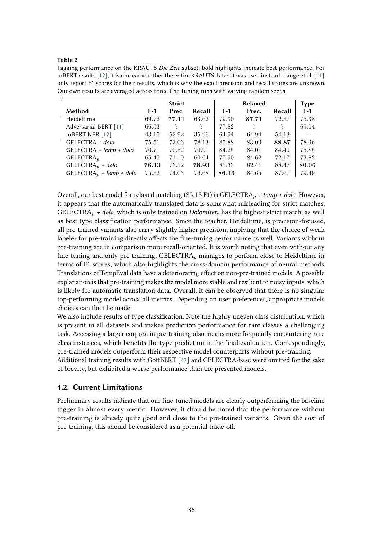### <span id="page-3-0"></span>**Table 2**

Tagging performance on the KRAUTS *Die Zeit* subset; bold highlights indicate best performance. For mBERT results [\[12\]](#page-5-5), it is unclear whether the entire KRAUTS dataset was used instead. Lange et al. [\[11\]](#page-5-4) only report F1 scores for their results, which is why the exact precision and recall scores are unknown. Our own results are averaged across three fine-tuning runs with varying random seeds.

|                                     |       | <b>Strict</b> |        |       | <b>Relaxed</b> |                | <b>Type</b> |
|-------------------------------------|-------|---------------|--------|-------|----------------|----------------|-------------|
| Method                              | $F-1$ | Prec.         | Recall | $F-1$ | Prec.          | Recall         | $F-1$       |
| Heideltime                          | 69.72 | 77.11         | 63.62  | 79.30 | 87.71          | 72.37          | 75.38       |
| Adversarial BERT [11]               | 66.53 | ?             | ?      | 77.82 | $\gamma$       | $\overline{?}$ | 69.04       |
| mBERT NER [12]                      | 43.15 | 53.92         | 35.96  | 64.94 | 64.94          | 54.13          |             |
| $GELECTRA + dolo$                   | 75.51 | 73.06         | 78.13  | 85.88 | 83.09          | 88.87          | 78.96       |
| $GELECTRA + temp + dolo$            | 70.71 | 70.52         | 70.91  | 84.25 | 84.01          | 84.49          | 75.85       |
| $GELECTRA_p$                        | 65.45 | 71.10         | 60.64  | 77.90 | 84.62          | 72.17          | 73.82       |
| $GELECTRAp + dolo$                  | 76.13 | 73.52         | 78.93  | 85.33 | 82.41          | 88.47          | 80.06       |
| GELECTRA <sub>p</sub> + temp + dolo | 75.32 | 74.03         | 76.68  | 86.13 | 84.65          | 87.67          | 79.49       |

Overall, our best model for relaxed matching (86*.*13 F1) is GELECTRA*<sup>p</sup> + temp + dolo*. However, it appears that the automatically translated data is somewhat misleading for strict matches; GELECTRA*<sup>p</sup> + dolo*, which is only trained on *Dolomiten*, has the highest strict match, as well as best type classification performance. Since the teacher, Heideltime, is precision-focused, all pre-trained variants also carry slightly higher precision, implying that the choice of weak labeler for pre-training directly affects the fine-tuning performance as well. Variants without pre-training are in comparison more recall-oriented. It is worth noting that even without any fine-tuning and only pre-training, GELECTRA<sub>p</sub> manages to perform close to Heideltime in terms of F1 scores, which also highlights the cross-domain performance of neural methods. Translations of TempEval data have a deteriorating effect on non-pre-trained models. A possible explanation is that pre-training makes the model more stable and resilient to noisy inputs, which is likely for automatic translation data. Overall, it can be observed that there is no singular top-performing model across all metrics. Depending on user preferences, appropriate models choices can then be made.

We also include results of type classification. Note the highly uneven class distribution, which is present in all datasets and makes prediction performance for rare classes a challenging task. Accessing a larger corpora in pre-training also means more frequently encountering rare class instances, which benefits the type prediction in the final evaluation. Correspondingly, pre-trained models outperform their respective model counterparts without pre-training. Additional training results with GottBERT [\[27\]](#page-7-1) and GELECTRA-base were omitted for the sake of brevity, but exhibited a worse performance than the presented models.

### **4.2. Current Limitations**

Preliminary results indicate that our fine-tuned models are clearly outperforming the baseline tagger in almost every metric. However, it should be noted that the performance without pre-training is already quite good and close to the pre-trained variants. Given the cost of pre-training, this should be considered as a potential trade-off.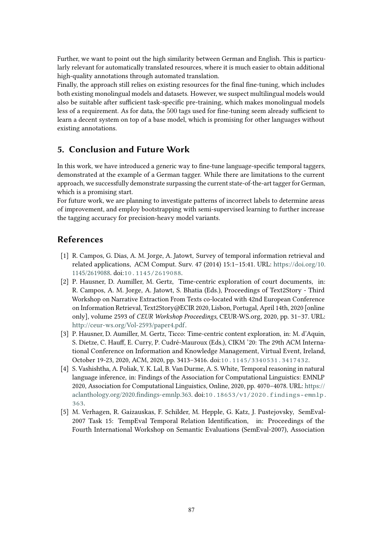Further, we want to point out the high similarity between German and English. This is particularly relevant for automatically translated resources, where it is much easier to obtain additional high-quality annotations through automated translation.

Finally, the approach still relies on existing resources for the final fine-tuning, which includes both existing monolingual models and datasets. However, we suspect multilingual models would also be suitable after sufficient task-specific pre-training, which makes monolingual models less of a requirement. As for data, the 500 tags used for fine-tuning seem already sufficient to learn a decent system on top of a base model, which is promising for other languages without existing annotations.

# **5. Conclusion and Future Work**

In this work, we have introduced a generic way to fine-tune language-specific temporal taggers, demonstrated at the example of a German tagger. While there are limitations to the current approach, we successfully demonstrate surpassing the current state-of-the-art tagger for German, which is a promising start.

For future work, we are planning to investigate patterns of incorrect labels to determine areas of improvement, and employ bootstrapping with semi-supervised learning to further increase the tagging accuracy for precision-heavy model variants.

# **References**

- [1] R. Campos, G. Dias, A. M. Jorge, A. Jatowt, Survey of temporal information retrieval and related applications, ACM Comput. Surv. 47 (2014) 15:1–15:41. URL: [https://doi.org/10.](https://doi.org/10.1145/2619088) [1145/2619088.](https://doi.org/10.1145/2619088) doi:[10.1145/2619088](http://dx.doi.org/10.1145/2619088).
- [2] P. Hausner, D. Aumiller, M. Gertz, Time-centric exploration of court documents, in: R. Campos, A. M. Jorge, A. Jatowt, S. Bhatia (Eds.), Proceedings of Text2Story - Third Workshop on Narrative Extraction From Texts co-located with 42nd European Conference on Information Retrieval, Text2Story@ECIR 2020, Lisbon, Portugal, April 14th, 2020 [online only], volume 2593 of *CEUR Workshop Proceedings*, CEUR-WS.org, 2020, pp. 31–37. URL: [http://ceur-ws.org/Vol-2593/paper4.pdf.](http://ceur-ws.org/Vol-2593/paper4.pdf)
- [3] P. Hausner, D. Aumiller, M. Gertz, Ticco: Time-centric content exploration, in: M. d'Aquin, S. Dietze, C. Hauff, E. Curry, P. Cudré-Mauroux (Eds.), CIKM '20: The 29th ACM International Conference on Information and Knowledge Management, Virtual Event, Ireland, October 19-23, 2020, ACM, 2020, pp. 3413–3416. doi:[10.1145/3340531.3417432](http://dx.doi.org/10.1145/3340531.3417432).
- [4] S. Vashishtha, A. Poliak, Y. K. Lal, B. Van Durme, A. S. White, Temporal reasoning in natural language inference, in: Findings of the Association for Computational Linguistics: EMNLP 2020, Association for Computational Linguistics, Online, 2020, pp. 4070–4078. URL: [https://](https://aclanthology.org/2020.findings-emnlp.363) [aclanthology.org/2020.](https://aclanthology.org/2020.findings-emnlp.363)findings-emnlp.363.  $\frac{doi:10.18653}{v1^{2020} \cdot \text{findings-embp}}$ . [363](http://dx.doi.org/10.18653/v1/2020.findings-emnlp.363).
- [5] M. Verhagen, R. Gaizauskas, F. Schilder, M. Hepple, G. Katz, J. Pustejovsky, SemEval-2007 Task 15: TempEval Temporal Relation Identification, in: Proceedings of the Fourth International Workshop on Semantic Evaluations (SemEval-2007), Association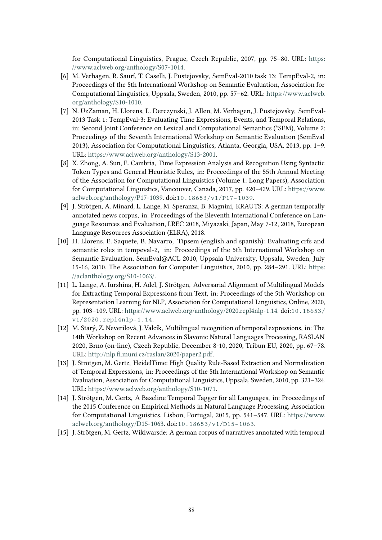for Computational Linguistics, Prague, Czech Republic, 2007, pp. 75–80. URL: [https:](https://www.aclweb.org/anthology/S07-1014) [//www.aclweb.org/anthology/S07-1014.](https://www.aclweb.org/anthology/S07-1014)

- [6] M. Verhagen, R. Saurí, T. Caselli, J. Pustejovsky, SemEval-2010 task 13: TempEval-2, in: Proceedings of the 5th International Workshop on Semantic Evaluation, Association for Computational Linguistics, Uppsala, Sweden, 2010, pp. 57–62. URL: [https://www.aclweb.](https://www.aclweb.org/anthology/S10-1010) [org/anthology/S10-1010.](https://www.aclweb.org/anthology/S10-1010)
- <span id="page-5-7"></span>[7] N. UzZaman, H. Llorens, L. Derczynski, J. Allen, M. Verhagen, J. Pustejovsky, SemEval-2013 Task 1: TempEval-3: Evaluating Time Expressions, Events, and Temporal Relations, in: Second Joint Conference on Lexical and Computational Semantics (\*SEM), Volume 2: Proceedings of the Seventh International Workshop on Semantic Evaluation (SemEval 2013), Association for Computational Linguistics, Atlanta, Georgia, USA, 2013, pp. 1–9. URL: [https://www.aclweb.org/anthology/S13-2001.](https://www.aclweb.org/anthology/S13-2001)
- [8] X. Zhong, A. Sun, E. Cambria, Time Expression Analysis and Recognition Using Syntactic Token Types and General Heuristic Rules, in: Proceedings of the 55th Annual Meeting of the Association for Computational Linguistics (Volume 1: Long Papers), Association for Computational Linguistics, Vancouver, Canada, 2017, pp. 420–429. URL: [https://www.](https://www.aclweb.org/anthology/P17-1039) [aclweb.org/anthology/P17-1039.](https://www.aclweb.org/anthology/P17-1039) doi:[10.18653/v1/P17-1039](http://dx.doi.org/10.18653/v1/P17-1039).
- <span id="page-5-2"></span>[9] J. Strötgen, A. Minard, L. Lange, M. Speranza, B. Magnini, KRAUTS: A german temporally annotated news corpus, in: Proceedings of the Eleventh International Conference on Language Resources and Evaluation, LREC 2018, Miyazaki, Japan, May 7-12, 2018, European Language Resources Association (ELRA), 2018.
- <span id="page-5-6"></span>[10] H. Llorens, E. Saquete, B. Navarro, Tipsem (english and spanish): Evaluating crfs and semantic roles in tempeval-2, in: Proceedings of the 5th International Workshop on Semantic Evaluation, SemEval@ACL 2010, Uppsala University, Uppsala, Sweden, July 15-16, 2010, The Association for Computer Linguistics, 2010, pp. 284–291. URL: [https:](https://aclanthology.org/S10-1063/) [//aclanthology.org/S10-1063/.](https://aclanthology.org/S10-1063/)
- <span id="page-5-4"></span>[11] L. Lange, A. Iurshina, H. Adel, J. Strötgen, Adversarial Alignment of Multilingual Models for Extracting Temporal Expressions from Text, in: Proceedings of the 5th Workshop on Representation Learning for NLP, Association for Computational Linguistics, Online, 2020, pp. 103–109. URL: [https://www.aclweb.org/anthology/2020.repl4nlp-1.14.](https://www.aclweb.org/anthology/2020.repl4nlp-1.14) doi:[10.18653/](http://dx.doi.org/10.18653/v1/2020.repl4nlp-1.14) [v1/2020.repl4nlp-1.14](http://dx.doi.org/10.18653/v1/2020.repl4nlp-1.14).
- <span id="page-5-5"></span>[12] M. Starý, Z. Neverilová, J. Valcík, Multilingual recognition of temporal expressions, in: The 14th Workshop on Recent Advances in Slavonic Natural Languages Processing, RASLAN 2020, Brno (on-line), Czech Republic, December 8-10, 2020, Tribun EU, 2020, pp. 67–78. URL: http://nlp.fi[.muni.cz/raslan/2020/paper2.pdf.](http://nlp.fi.muni.cz/raslan/2020/paper2.pdf)
- <span id="page-5-0"></span>[13] J. Strötgen, M. Gertz, HeidelTime: High Quality Rule-Based Extraction and Normalization of Temporal Expressions, in: Proceedings of the 5th International Workshop on Semantic Evaluation, Association for Computational Linguistics, Uppsala, Sweden, 2010, pp. 321–324. URL: [https://www.aclweb.org/anthology/S10-1071.](https://www.aclweb.org/anthology/S10-1071)
- <span id="page-5-1"></span>[14] J. Strötgen, M. Gertz, A Baseline Temporal Tagger for all Languages, in: Proceedings of the 2015 Conference on Empirical Methods in Natural Language Processing, Association for Computational Linguistics, Lisbon, Portugal, 2015, pp. 541–547. URL: [https://www.](https://www.aclweb.org/anthology/D15-1063) [aclweb.org/anthology/D15-1063.](https://www.aclweb.org/anthology/D15-1063) doi:[10.18653/v1/D15-1063](http://dx.doi.org/10.18653/v1/D15-1063).
- <span id="page-5-3"></span>[15] J. Strötgen, M. Gertz, Wikiwarsde: A german corpus of narratives annotated with temporal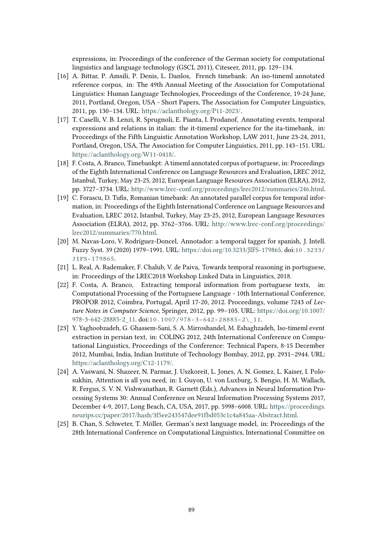expressions, in: Proceedings of the conference of the German society for computational linguistics and language technology (GSCL 2011), Citeseer, 2011, pp. 129–134.

- <span id="page-6-0"></span>[16] A. Bittar, P. Amsili, P. Denis, L. Danlos, French timebank: An iso-timeml annotated reference corpus, in: The 49th Annual Meeting of the Association for Computational Linguistics: Human Language Technologies, Proceedings of the Conference, 19-24 June, 2011, Portland, Oregon, USA - Short Papers, The Association for Computer Linguistics, 2011, pp. 130–134. URL: [https://aclanthology.org/P11-2023/.](https://aclanthology.org/P11-2023/)
- <span id="page-6-1"></span>[17] T. Caselli, V. B. Lenzi, R. Sprugnoli, E. Pianta, I. Prodanof, Annotating events, temporal expressions and relations in italian: the it-timeml experience for the ita-timebank, in: Proceedings of the Fifth Linguistic Annotation Workshop, LAW 2011, June 23-24, 2011, Portland, Oregon, USA, The Association for Computer Linguistics, 2011, pp. 143–151. URL: [https://aclanthology.org/W11-0418/.](https://aclanthology.org/W11-0418/)
- <span id="page-6-2"></span>[18] F. Costa, A. Branco, Timebankpt: A timeml annotated corpus of portuguese, in: Proceedings of the Eighth International Conference on Language Resources and Evaluation, LREC 2012, Istanbul, Turkey, May 23-25, 2012, European Language Resources Association (ELRA), 2012, pp. 3727–3734. URL: [http://www.lrec-conf.org/proceedings/lrec2012/summaries/246.html.](http://www.lrec-conf.org/proceedings/lrec2012/summaries/246.html)
- <span id="page-6-3"></span>[19] C. Forascu, D. Tufis, Romanian timebank: An annotated parallel corpus for temporal information, in: Proceedings of the Eighth International Conference on Language Resources and Evaluation, LREC 2012, Istanbul, Turkey, May 23-25, 2012, European Language Resources Association (ELRA), 2012, pp. 3762–3766. URL: [http://www.lrec-conf.org/proceedings/](http://www.lrec-conf.org/proceedings/lrec2012/summaries/770.html) [lrec2012/summaries/770.html.](http://www.lrec-conf.org/proceedings/lrec2012/summaries/770.html)
- <span id="page-6-4"></span>[20] M. Navas-Loro, V. Rodríguez-Doncel, Annotador: a temporal tagger for spanish, J. Intell. Fuzzy Syst. 39 (2020) 1979–1991. URL: [https://doi.org/10.3233/JIFS-179865.](https://doi.org/10.3233/JIFS-179865) doi:[10.3233/](http://dx.doi.org/10.3233/JIFS-179865) [JIFS-179865](http://dx.doi.org/10.3233/JIFS-179865).
- <span id="page-6-5"></span>[21] L. Real, A. Rademaker, F. Chalub, V. de Paiva, Towards temporal reasoning in portuguese, in: Proceedings of the LREC2018 Workshop Linked Data in Linguistics, 2018.
- <span id="page-6-6"></span>[22] F. Costa, A. Branco, Extracting temporal information from portuguese texts, in: Computational Processing of the Portuguese Language - 10th International Conference, PROPOR 2012, Coimbra, Portugal, April 17-20, 2012. Proceedings, volume 7243 of *Lecture Notes in Computer Science*, Springer, 2012, pp. 99–105. URL: [https://doi.org/10.1007/](https://doi.org/10.1007/978-3-642-28885-2_11) 978-3-642-28885-2 11. doi:10.1007/978-3-642-28885-2\ 11.
- <span id="page-6-7"></span>[23] Y. Yaghoobzadeh, G. Ghassem-Sani, S. A. Mirroshandel, M. Eshaghzadeh, Iso-timeml event extraction in persian text, in: COLING 2012, 24th International Conference on Computational Linguistics, Proceedings of the Conference: Technical Papers, 8-15 December 2012, Mumbai, India, Indian Institute of Technology Bombay, 2012, pp. 2931–2944. URL: [https://aclanthology.org/C12-1179/.](https://aclanthology.org/C12-1179/)
- <span id="page-6-8"></span>[24] A. Vaswani, N. Shazeer, N. Parmar, J. Uszkoreit, L. Jones, A. N. Gomez, L. Kaiser, I. Polosukhin, Attention is all you need, in: I. Guyon, U. von Luxburg, S. Bengio, H. M. Wallach, R. Fergus, S. V. N. Vishwanathan, R. Garnett (Eds.), Advances in Neural Information Processing Systems 30: Annual Conference on Neural Information Processing Systems 2017, December 4-9, 2017, Long Beach, CA, USA, 2017, pp. 5998–6008. URL: [https://proceedings.](https://proceedings.neurips.cc/paper/2017/hash/3f5ee243547dee91fbd053c1c4a845aa-Abstract.html) [neurips.cc/paper/2017/hash/3f5ee243547dee91fbd053c1c4a845aa-Abstract.html.](https://proceedings.neurips.cc/paper/2017/hash/3f5ee243547dee91fbd053c1c4a845aa-Abstract.html)
- <span id="page-6-9"></span>[25] B. Chan, S. Schweter, T. Möller, German's next language model, in: Proceedings of the 28th International Conference on Computational Linguistics, International Committee on